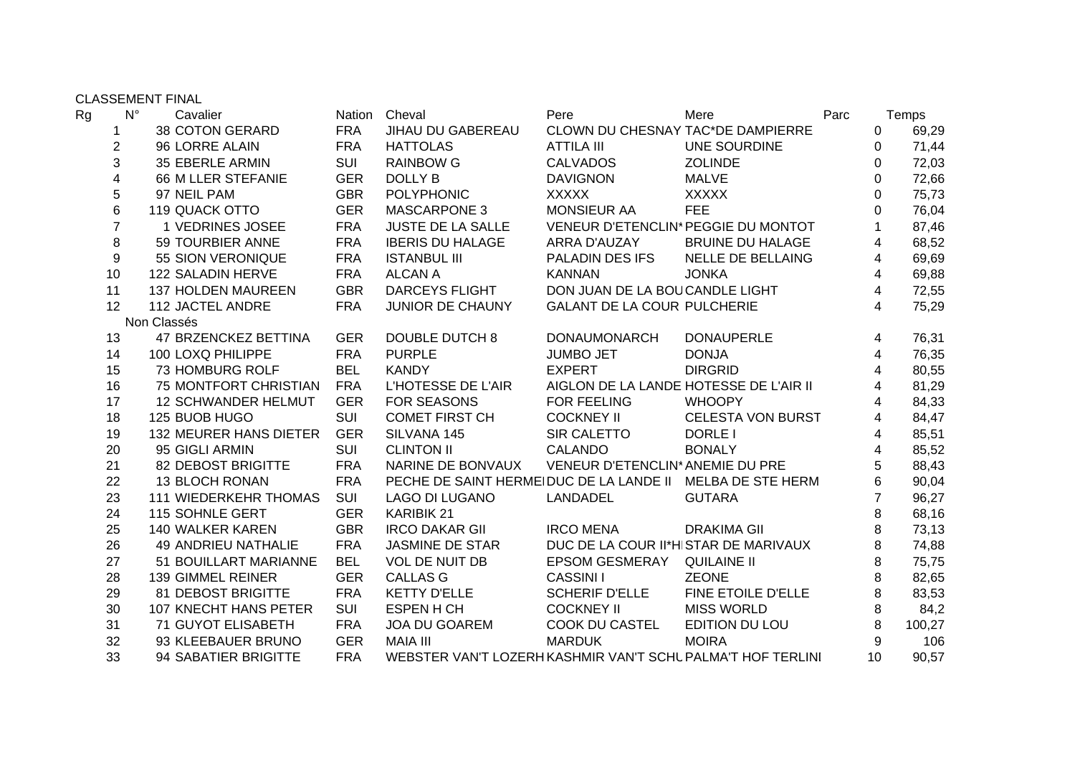CLASSEMENT FINAL

| Rg | $N^{\circ}$    | Cavalier                     |            | Nation Cheval                                               | Pere                                   | Mere                     | Parc |                | Temps  |
|----|----------------|------------------------------|------------|-------------------------------------------------------------|----------------------------------------|--------------------------|------|----------------|--------|
|    |                | <b>38 COTON GERARD</b>       | <b>FRA</b> | JIHAU DU GABEREAU                                           | CLOWN DU CHESNAY TAC*DE DAMPIERRE      |                          |      | 0              | 69,29  |
|    | 2              | 96 LORRE ALAIN               | <b>FRA</b> | <b>HATTOLAS</b>                                             | <b>ATTILA III</b>                      | UNE SOURDINE             |      | 0              | 71,44  |
|    | 3              | <b>35 EBERLE ARMIN</b>       | <b>SUI</b> | <b>RAINBOW G</b>                                            | <b>CALVADOS</b>                        | <b>ZOLINDE</b>           |      | 0              | 72,03  |
|    | 4              | 66 M LLER STEFANIE           | <b>GER</b> | <b>DOLLY B</b>                                              | <b>DAVIGNON</b>                        | <b>MALVE</b>             |      | 0              | 72,66  |
|    | 5              | 97 NEIL PAM                  | <b>GBR</b> | <b>POLYPHONIC</b>                                           | <b>XXXXX</b>                           | <b>XXXXX</b>             |      | 0              | 75,73  |
|    | 6              | 119 QUACK OTTO               | <b>GER</b> | <b>MASCARPONE 3</b>                                         | MONSIEUR AA                            | <b>FEE</b>               |      | 0              | 76,04  |
|    | $\overline{7}$ | 1 VEDRINES JOSEE             | <b>FRA</b> | <b>JUSTE DE LA SALLE</b>                                    | VENEUR D'ETENCLIN* PEGGIE DU MONTOT    |                          |      | 1              | 87,46  |
|    | 8              | 59 TOURBIER ANNE             | <b>FRA</b> | <b>IBERIS DU HALAGE</b>                                     | ARRA D'AUZAY                           | <b>BRUINE DU HALAGE</b>  |      | 4              | 68,52  |
|    | 9              | 55 SION VERONIQUE            | <b>FRA</b> | <b>ISTANBUL III</b>                                         | PALADIN DES IFS                        | <b>NELLE DE BELLAING</b> |      | 4              | 69,69  |
|    | 10             | 122 SALADIN HERVE            | <b>FRA</b> | <b>ALCAN A</b>                                              | <b>KANNAN</b>                          | <b>JONKA</b>             |      | 4              | 69,88  |
|    | 11             | <b>137 HOLDEN MAUREEN</b>    | <b>GBR</b> | <b>DARCEYS FLIGHT</b>                                       | DON JUAN DE LA BOUCANDLE LIGHT         |                          |      | 4              | 72,55  |
|    | 12             | 112 JACTEL ANDRE             | <b>FRA</b> | JUNIOR DE CHAUNY                                            | <b>GALANT DE LA COUR PULCHERIE</b>     |                          |      | 4              | 75,29  |
|    |                | Non Classés                  |            |                                                             |                                        |                          |      |                |        |
|    | 13             | 47 BRZENCKEZ BETTINA         | <b>GER</b> | <b>DOUBLE DUTCH 8</b>                                       | <b>DONAUMONARCH</b>                    | <b>DONAUPERLE</b>        |      | 4              | 76,31  |
|    | 14             | 100 LOXQ PHILIPPE            | <b>FRA</b> | <b>PURPLE</b>                                               | <b>JUMBO JET</b>                       | <b>DONJA</b>             |      | 4              | 76,35  |
|    | 15             | 73 HOMBURG ROLF              | <b>BEL</b> | <b>KANDY</b>                                                | <b>EXPERT</b>                          | <b>DIRGRID</b>           |      | 4              | 80,55  |
|    | 16             | 75 MONTFORT CHRISTIAN        | <b>FRA</b> | L'HOTESSE DE L'AIR                                          | AIGLON DE LA LANDE HOTESSE DE L'AIR II |                          |      | 4              | 81,29  |
|    | 17             | <b>12 SCHWANDER HELMUT</b>   | <b>GER</b> | <b>FOR SEASONS</b>                                          | <b>FOR FEELING</b>                     | <b>WHOOPY</b>            |      | 4              | 84,33  |
|    | 18             | 125 BUOB HUGO                | <b>SUI</b> | <b>COMET FIRST CH</b>                                       | <b>COCKNEY II</b>                      | <b>CELESTA VON BURST</b> |      | 4              | 84,47  |
|    | 19             | 132 MEURER HANS DIETER       | <b>GER</b> | SILVANA 145                                                 | SIR CALETTO                            | DORLE I                  |      | 4              | 85,51  |
|    | 20             | 95 GIGLI ARMIN               | <b>SUI</b> | <b>CLINTON II</b>                                           | <b>CALANDO</b>                         | <b>BONALY</b>            |      | 4              | 85,52  |
|    | 21             | 82 DEBOST BRIGITTE           | <b>FRA</b> | NARINE DE BONVAUX                                           | VENEUR D'ETENCLIN* ANEMIE DU PRE       |                          |      | 5              | 88,43  |
|    | 22             | <b>13 BLOCH RONAN</b>        | <b>FRA</b> | PECHE DE SAINT HERMEIDUC DE LA LANDE II                     |                                        | MELBA DE STE HERM        |      | 6              | 90,04  |
|    | 23             | <b>111 WIEDERKEHR THOMAS</b> | <b>SUI</b> | <b>LAGO DI LUGANO</b>                                       | LANDADEL                               | <b>GUTARA</b>            |      | $\overline{7}$ | 96,27  |
|    | 24             | 115 SOHNLE GERT              | <b>GER</b> | <b>KARIBIK 21</b>                                           |                                        |                          |      | 8              | 68,16  |
|    | 25             | 140 WALKER KAREN             | <b>GBR</b> | <b>IRCO DAKAR GII</b>                                       | <b>IRCO MENA</b>                       | <b>DRAKIMA GIL</b>       |      | 8              | 73,13  |
|    | 26             | <b>49 ANDRIEU NATHALIE</b>   | <b>FRA</b> | <b>JASMINE DE STAR</b>                                      | DUC DE LA COUR II*HISTAR DE MARIVAUX   |                          |      | 8              | 74,88  |
|    | 27             | 51 BOUILLART MARIANNE        | <b>BEL</b> | <b>VOL DE NUIT DB</b>                                       | <b>EPSOM GESMERAY</b>                  | <b>QUILAINE II</b>       |      | 8              | 75,75  |
|    | 28             | 139 GIMMEL REINER            | <b>GER</b> | <b>CALLAS G</b>                                             | <b>CASSINI I</b>                       | <b>ZEONE</b>             |      | 8              | 82,65  |
|    | 29             | <b>81 DEBOST BRIGITTE</b>    | <b>FRA</b> | <b>KETTY D'ELLE</b>                                         | <b>SCHERIF D'ELLE</b>                  | FINE ETOILE D'ELLE       |      | 8              | 83,53  |
|    | 30             | 107 KNECHT HANS PETER        | SUI        | <b>ESPEN H CH</b>                                           | <b>COCKNEY II</b>                      | <b>MISS WORLD</b>        |      | 8              | 84,2   |
|    | 31             | 71 GUYOT ELISABETH           | <b>FRA</b> | JOA DU GOAREM                                               | COOK DU CASTEL                         | EDITION DU LOU           |      | 8              | 100,27 |
|    | 32             | 93 KLEEBAUER BRUNO           | <b>GER</b> | <b>MAIA III</b>                                             | <b>MARDUK</b>                          | <b>MOIRA</b>             |      | 9              | 106    |
|    | 33             | 94 SABATIER BRIGITTE         | <b>FRA</b> | WEBSTER VAN'T LOZERH KASHMIR VAN'T SCHL PALMA'T HOF TERLINI |                                        |                          |      | 10             | 90,57  |